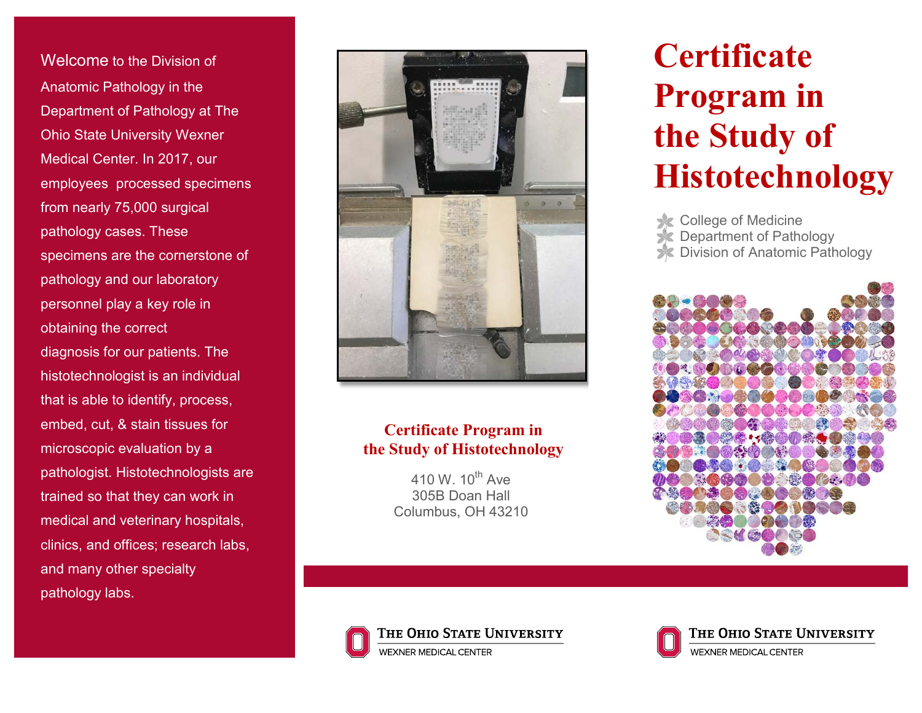Welcome to the Division of Anatomic Pathology in the Department of Pathology at The Ohio State University Wexner Medical Center. In 2017, our employees processed specimens from nearly 75,000 surgical pathology cases. These specimens are the cornerstone of pathology and our laboratory personnel play a key role in obtaining the correct diagnosis for our patients. The histotechnologist is an individual that is able to identify, process, embed, cut, & stain tissues for microscopic evaluation by a pathologist. Histotechnologists are trained so that they can work in medical and veterinary hospitals, clinics, and offices; research labs, and many other specialty pathology labs.



### **Certificate Program in the Study of Histotechnology**

410 W. 10<sup>th</sup> Ave 305B Doan Hall Columbus, OH 43210

# **Certificate Program in the Study of Histotechnology**

**College of Medicine C** Department of Pathology

**X** Division of Anatomic Pathology







THE OHIO STATE UNIVERSITY WEXNER MEDICAL CENTER